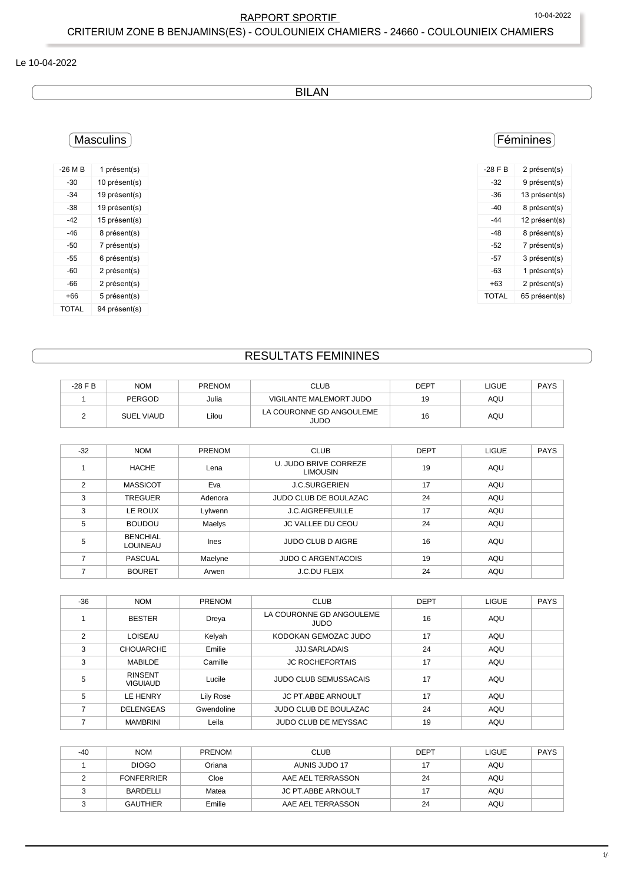## RAPPORT SPORTIF 10-04-2022

### CRITERIUM ZONE B BENJAMINS(ES) - COULOUNIEIX CHAMIERS - 24660 - COULOUNIEIX CHAMIERS

#### Le 10-04-2022

## BILAN

# Masculins

| $-26M$ B | 1 présent(s)  |
|----------|---------------|
| $-30$    | 10 présent(s) |
| $-34$    | 19 présent(s) |
| -38      | 19 présent(s) |
| -42      | 15 présent(s) |
| -46      | 8 présent(s)  |
| -50      | 7 présent(s)  |
| -55      | 6 présent(s)  |
| -60      | 2 présent(s)  |
| -66      | 2 présent(s)  |
| +66      | 5 présent(s)  |
| TOTAL    | 94 présent(s) |

### Féminines

| $-28$ F B | 2 présent(s)  |
|-----------|---------------|
| -32       | 9 présent(s)  |
| -36       | 13 présent(s) |
| -40       | 8 présent(s)  |
| -44       | 12 présent(s) |
| -48       | 8 présent(s)  |
| -52       | 7 présent(s)  |
| -57       | 3 présent(s)  |
| -63       | 1 présent(s)  |
| +63       | 2 présent(s)  |
| TOTAL     | 65 présent(s) |

## RESULTATS FEMININES

| $-28$ F B | <b>NOM</b>        | <b>PRENOM</b> | CLUB                             | DEPT | LIGUE | <b>PAYS</b> |
|-----------|-------------------|---------------|----------------------------------|------|-------|-------------|
|           | PERGOD            | Julia         | <b>VIGILANTE MALEMORT JUDO</b>   | 19   | AQU   |             |
|           | <b>SUEL VIAUD</b> | Lilou         | LA COURONNE GD ANGOULEME<br>JUDO | 16   | AQU   |             |

| $-32$ | <b>NOM</b>                         | PRENOM  | <b>CLUB</b>                              | <b>DEPT</b> | <b>LIGUE</b> | <b>PAYS</b> |  |
|-------|------------------------------------|---------|------------------------------------------|-------------|--------------|-------------|--|
|       | <b>HACHE</b>                       | Lena    | U. JUDO BRIVE CORREZE<br><b>LIMOUSIN</b> | 19          | AQU          |             |  |
| 2     | <b>MASSICOT</b>                    | Eva     | <b>J.C.SURGERIEN</b>                     | 17          | AQU          |             |  |
| 3     | <b>TREGUER</b>                     | Adenora | <b>JUDO CLUB DE BOULAZAC</b>             | 24          | AQU          |             |  |
| 3     | LE ROUX                            | Lylwenn | <b>J.C.AIGREFEUILLE</b>                  | 17          | AQU          |             |  |
| 5     | <b>BOUDOU</b>                      | Maelys  | <b>JC VALLEE DU CEOU</b>                 | 24          | AQU          |             |  |
| 5     | <b>BENCHIAL</b><br><b>LOUINEAU</b> | Ines    | <b>JUDO CLUB D AIGRE</b>                 | 16          | AQU          |             |  |
|       | <b>PASCUAL</b>                     | Maelyne | <b>JUDO C ARGENTACOIS</b>                | 19          | AQU          |             |  |
|       | <b>BOURET</b>                      | Arwen   | J.C.DU FLEIX                             | 24          | AQU          |             |  |

| $-36$ | <b>NOM</b>                        | <b>PRENOM</b> | <b>CLUB</b>                             | <b>DEPT</b> | <b>LIGUE</b> | <b>PAYS</b> |
|-------|-----------------------------------|---------------|-----------------------------------------|-------------|--------------|-------------|
|       | <b>BESTER</b>                     | Dreya         | LA COURONNE GD ANGOULEME<br><b>JUDO</b> | 16          | AQU          |             |
| 2     | LOISEAU                           | Kelyah        | KODOKAN GEMOZAC JUDO                    | 17          | AQU          |             |
| 3     | <b>CHOUARCHE</b>                  | Emilie        | <b>JJJ.SARLADAIS</b>                    | 24          | AQU          |             |
| 3     | <b>MABILDE</b>                    | Camille       | <b>JC ROCHEFORTAIS</b>                  | 17          | AQU          |             |
| 5     | <b>RINSENT</b><br><b>VIGUIAUD</b> | Lucile        | <b>JUDO CLUB SEMUSSACAIS</b>            | 17          | AQU          |             |
| 5     | <b>LE HENRY</b>                   | Lily Rose     | <b>JC PT ABBE ARNOULT</b>               | 17          | AQU          |             |
|       | <b>DELENGEAS</b>                  | Gwendoline    | JUDO CLUB DE BOULAZAC                   | 24          | AQU          |             |
|       | <b>MAMBRINI</b>                   | Leila         | <b>JUDO CLUB DE MEYSSAC</b>             | 19          | AQU          |             |

| $-40$ | <b>NOM</b>        | <b>PRENOM</b> | <b>CLUB</b>               | <b>DEPT</b> | <b>LIGUE</b> | <b>PAYS</b> |
|-------|-------------------|---------------|---------------------------|-------------|--------------|-------------|
|       | <b>DIOGO</b>      | Oriana        | AUNIS JUDO 17             |             | AQU          |             |
|       | <b>FONFERRIER</b> | Cloe          | AAE AEL TERRASSON         | 24          | AQU          |             |
|       | BARDELLI          | Matea         | <b>JC PT.ABBE ARNOULT</b> | 17          | AQU          |             |
|       | <b>GAUTHIER</b>   | Emilie        | AAE AEL TERRASSON         | 24          | AQU          |             |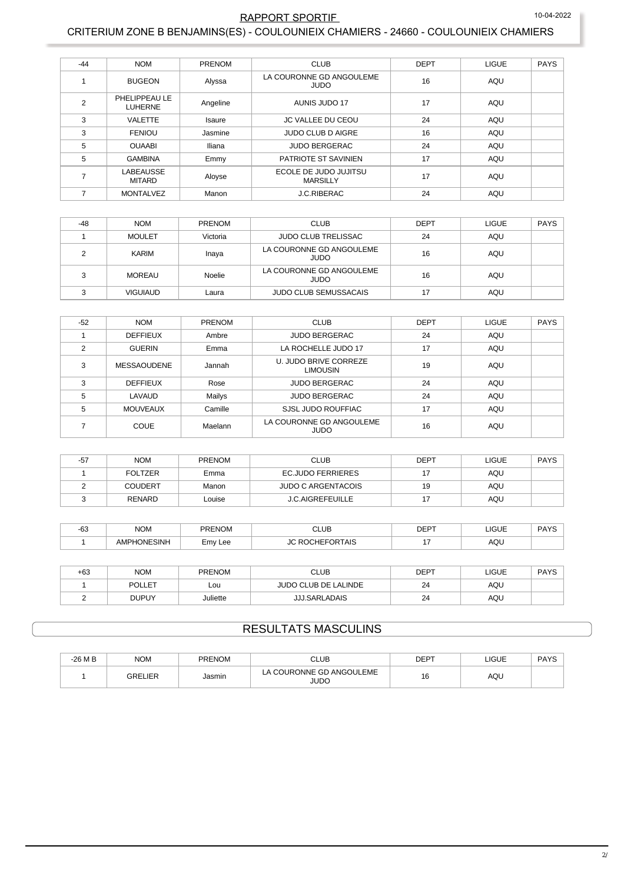#### 10-04-2022

## RAPPORT SPORTIF

### CRITERIUM ZONE B BENJAMINS(ES) - COULOUNIEIX CHAMIERS - 24660 - COULOUNIEIX CHAMIERS

| $-44$          | <b>NOM</b>                        | PRENOM        | <b>CLUB</b>                              | <b>DEPT</b> | LIGUE      | <b>PAYS</b> |
|----------------|-----------------------------------|---------------|------------------------------------------|-------------|------------|-------------|
|                | <b>BUGEON</b>                     | Alyssa        | LA COURONNE GD ANGOULEME<br><b>JUDO</b>  | 16          | AQU        |             |
| $\overline{2}$ | PHELIPPEAU LE<br><b>LUHERNE</b>   | Angeline      | AUNIS JUDO 17                            | 17          | AQU        |             |
| 3              | <b>VALETTE</b>                    | <b>Isaure</b> | JC VALLEE DU CEOU                        | 24          | AQU        |             |
| 3              | <b>FENIOU</b>                     | Jasmine       | <b>JUDO CLUB D AIGRE</b>                 | 16          | AQU        |             |
| 5              | <b>OUAABI</b>                     | Iliana        | <b>JUDO BERGERAC</b>                     | 24          | AQU        |             |
| 5              | <b>GAMBINA</b>                    | Emmy          | PATRIOTE ST SAVINIEN                     | 17          | AQU        |             |
|                | <b>LABEAUSSE</b><br><b>MITARD</b> | Aloyse        | ECOLE DE JUDO JUJITSU<br><b>MARSILLY</b> | 17          | AQU        |             |
|                | <b>MONTALVEZ</b>                  | Manon         | J.C.RIBERAC                              | 24          | <b>AQU</b> |             |

| $-48$  | <b>NOM</b>      | <b>PRENOM</b> | <b>CLUB</b>                      | <b>DEPT</b> | <b>LIGUE</b> | PAYS |
|--------|-----------------|---------------|----------------------------------|-------------|--------------|------|
|        | <b>MOULET</b>   | Victoria      | <b>JUDO CLUB TRELISSAC</b>       | 24          | AQU          |      |
|        | KARIM           | Inaya         | LA COURONNE GD ANGOULEME<br>JUDO | 16          | AQU          |      |
| $\sim$ | <b>MOREAU</b>   | Noelie        | LA COURONNE GD ANGOULEME<br>JUDO | 16          | AQU          |      |
|        | <b>VIGUIAUD</b> | Laura         | <b>JUDO CLUB SEMUSSACAIS</b>     | 17          | AQU          |      |

| $-52$         | <b>NOM</b>         | PRENOM  | <b>CLUB</b>                              | <b>DEPT</b> | <b>LIGUE</b> | <b>PAYS</b> |
|---------------|--------------------|---------|------------------------------------------|-------------|--------------|-------------|
|               | <b>DEFFIEUX</b>    | Ambre   | <b>JUDO BERGERAC</b>                     | 24          | <b>AQU</b>   |             |
| $\mathcal{P}$ | <b>GUERIN</b>      | Emma    | LA ROCHELLE JUDO 17                      | 17          | AQU          |             |
| 3             | <b>MESSAOUDENE</b> | Jannah  | U. JUDO BRIVE CORREZE<br><b>LIMOUSIN</b> | 19          | AQU          |             |
| 3             | <b>DEFFIEUX</b>    | Rose    | <b>JUDO BERGERAC</b>                     | 24          | AQU          |             |
| 5             | <b>LAVAUD</b>      | Mailys  | <b>JUDO BERGERAC</b>                     | 24          | AQU          |             |
| 5             | <b>MOUVEAUX</b>    | Camille | SJSL JUDO ROUFFIAC                       | 17          | <b>AQU</b>   |             |
|               | <b>COUE</b>        | Maelann | LA COURONNE GD ANGOULEME<br><b>JUDO</b>  | 16          | AQU          |             |

| $-57$ | <b>NOM</b>     | <b>PRENOM</b> | <b>CLUB</b>               | <b>DEPT</b> | <b>LIGUE</b> | PAYS |
|-------|----------------|---------------|---------------------------|-------------|--------------|------|
|       | <b>FOLTZER</b> | Emma          | EC.JUDO FERRIERES         | 17          | AQU          |      |
|       | <b>COUDERT</b> | Manon         | <b>JUDO C ARGENTACOIS</b> | 19          | AQU          |      |
|       | <b>RENARD</b>  | Louise        | <b>J.C.AIGREFEUILLE</b>   | 17          | AQU          |      |

| $\sim$<br>-ხა | <b>NOM</b>  | <b>PRENOM</b><br>$\sim$ $\sim$ | .UE<br>$\sim$ $\sim$ $\sim$ | $DEF^-$ | <b>_IGUE</b><br>___ | DAVC |
|---------------|-------------|--------------------------------|-----------------------------|---------|---------------------|------|
|               | <b>SINH</b> | $-mv$<br>Lee                   | $\mathsf{TAIS}$<br>ּ        |         | AQL                 |      |

| +63 | <b>NOM</b>    | <b>PRENOM</b> | CLUB                        | <b>DEPT</b> | LIGUE | <b>DAVS</b><br>טורז |
|-----|---------------|---------------|-----------------------------|-------------|-------|---------------------|
|     | <b>POLLET</b> | Lou           | <b>JUDO CLUB DE LALINDE</b> | 24          | AQU   |                     |
|     | <b>DUPUY</b>  | Juliette      | <b>JJJ.SARLADAIS</b>        | 24          | AQU   |                     |

# **RESULTATS MASCULINS**

| $-26M$ B | <b>NOM</b> | <b>PRENOM</b> | CLUB                                | <b>DEPT</b> | LIGUE | <b>PAYS</b> |
|----------|------------|---------------|-------------------------------------|-------------|-------|-------------|
|          | IED<br>GRF | Jasmin        | COURONNE GD ANGOULEME<br>ட்<br>JUDO | 16          | AQU   |             |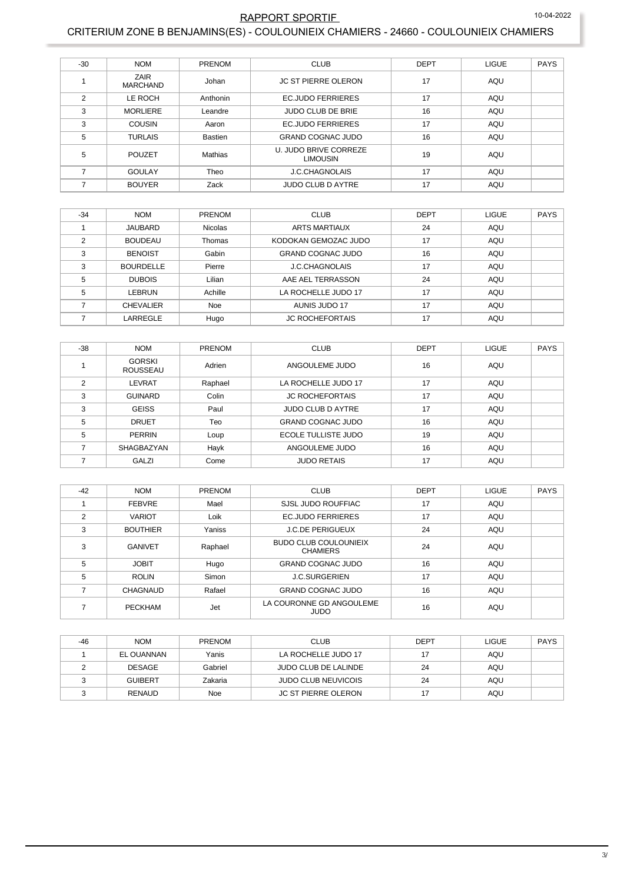## RAPPORT SPORTIF 10-04-2022

## CRITERIUM ZONE B BENJAMINS(ES) - COULOUNIEIX CHAMIERS - 24660 - COULOUNIEIX CHAMIERS

| $-30$          | <b>NOM</b>              | PRENOM   | <b>CLUB</b>                              | <b>DEPT</b> | <b>LIGUE</b> | <b>PAYS</b> |
|----------------|-------------------------|----------|------------------------------------------|-------------|--------------|-------------|
|                | ZAIR<br><b>MARCHAND</b> | Johan    | <b>JC ST PIERRE OLERON</b>               | 17          | AQU          |             |
| $\mathfrak{p}$ | LE ROCH                 | Anthonin | <b>EC.JUDO FERRIERES</b>                 | 17          | AQU          |             |
| 3              | <b>MORLIERE</b>         | Leandre  | <b>JUDO CLUB DE BRIE</b>                 | 16          | AQU          |             |
| 3              | <b>COUSIN</b>           | Aaron    | <b>EC.JUDO FERRIERES</b>                 | 17          | AQU          |             |
| 5              | <b>TURLAIS</b>          | Bastien  | <b>GRAND COGNAC JUDO</b>                 | 16          | AQU          |             |
| 5              | <b>POUZET</b>           | Mathias  | U. JUDO BRIVE CORREZE<br><b>LIMOUSIN</b> | 19          | AQU          |             |
|                | GOULAY                  | Theo     | <b>J.C.CHAGNOLAIS</b>                    | 17          | AQU          |             |
|                | <b>BOUYER</b>           | Zack     | <b>JUDO CLUB D AYTRE</b>                 | 17          | <b>AQU</b>   |             |

| $-34$ | <b>NOM</b>       | <b>PRENOM</b> | <b>CLUB</b>              | <b>DEPT</b> | <b>LIGUE</b> | <b>PAYS</b> |
|-------|------------------|---------------|--------------------------|-------------|--------------|-------------|
|       | <b>JAUBARD</b>   | Nicolas       | <b>ARTS MARTIAUX</b>     | 24          | AQU          |             |
| 2     | <b>BOUDEAU</b>   | Thomas        | KODOKAN GEMOZAC JUDO     | 17          | AQU          |             |
| 3     | <b>BENOIST</b>   | Gabin         | <b>GRAND COGNAC JUDO</b> | 16          | AQU          |             |
| 3     | <b>BOURDELLE</b> | Pierre        | <b>J.C.CHAGNOLAIS</b>    | 17          | AQU          |             |
| 5     | <b>DUBOIS</b>    | Lilian        | AAE AEL TERRASSON        | 24          | AQU          |             |
| 5     | LEBRUN           | Achille       | LA ROCHELLE JUDO 17      | 17          | AQU          |             |
|       | <b>CHEVALIER</b> | <b>Noe</b>    | AUNIS JUDO 17            | 17          | <b>AQU</b>   |             |
|       | LARREGLE         | Hugo          | <b>JC ROCHEFORTAIS</b>   | 17          | <b>AQU</b>   |             |

| $-38$ | <b>NOM</b>                       | PRENOM  | <b>CLUB</b>              | <b>DEPT</b> | <b>LIGUE</b> | <b>PAYS</b> |
|-------|----------------------------------|---------|--------------------------|-------------|--------------|-------------|
|       | <b>GORSKI</b><br><b>ROUSSEAU</b> | Adrien  | ANGOULEME JUDO           | 16          | AQU          |             |
| 2     | <b>LEVRAT</b>                    | Raphael | LA ROCHELLE JUDO 17      | 17          | AQU          |             |
| 3     | <b>GUINARD</b>                   | Colin   | <b>JC ROCHEFORTAIS</b>   | 17          | AQU          |             |
| 3     | <b>GEISS</b>                     | Paul    | <b>JUDO CLUB D AYTRE</b> | 17          | AQU          |             |
| 5     | <b>DRUET</b>                     | Teo     | <b>GRAND COGNAC JUDO</b> | 16          | AQU          |             |
| 5     | <b>PERRIN</b>                    | Loup    | ECOLE TULLISTE JUDO      | 19          | AQU          |             |
|       | SHAGBAZYAN                       | Hayk    | ANGOULEME JUDO           | 16          | AQU          |             |
|       | GALZI                            | Come    | <b>JUDO RETAIS</b>       | 17          | AQU          |             |

| $-42$          | <b>NOM</b>      | PRENOM  | <b>CLUB</b>                                     | <b>DEPT</b> | <b>LIGUE</b> | <b>PAYS</b> |
|----------------|-----------------|---------|-------------------------------------------------|-------------|--------------|-------------|
|                | <b>FEBVRE</b>   | Mael    | SJSL JUDO ROUFFIAC                              | 17          | AQU          |             |
| $\mathfrak{p}$ | <b>VARIOT</b>   | Loik    | <b>EC.JUDO FERRIERES</b>                        | 17          | AQU          |             |
| 3              | <b>BOUTHIER</b> | Yaniss  | <b>J.C.DE PERIGUEUX</b>                         | 24          | <b>AQU</b>   |             |
| 3              | <b>GANIVET</b>  | Raphael | <b>BUDO CLUB COULOUNIEIX</b><br><b>CHAMIERS</b> | 24          | AQU          |             |
| 5              | <b>JOBIT</b>    | Hugo    | <b>GRAND COGNAC JUDO</b>                        | 16          | AQU          |             |
| 5              | <b>ROLIN</b>    | Simon   | <b>J.C.SURGERIEN</b>                            | 17          | <b>AQU</b>   |             |
|                | <b>CHAGNAUD</b> | Rafael  | <b>GRAND COGNAC JUDO</b>                        | 16          | <b>AQU</b>   |             |
|                | <b>PECKHAM</b>  | Jet     | LA COURONNE GD ANGOULEME<br><b>JUDO</b>         | 16          | AQU          |             |

| -46 | <b>NOM</b>     | <b>PRENOM</b> | <b>CLUB</b>                | <b>DEPT</b> | LIGUE | <b>PAYS</b> |
|-----|----------------|---------------|----------------------------|-------------|-------|-------------|
|     | EL OUANNAN     | Yanis         | LA ROCHELLE JUDO 17        |             | AQU   |             |
|     | DESAGE         | Gabriel       | JUDO CLUB DE LALINDE       | 24          | AQU   |             |
|     | <b>GUIBERT</b> | Zakaria       | <b>JUDO CLUB NEUVICOIS</b> | 24          | AQU   |             |
|     | RENAUD         | Noe           | <b>JC ST PIERRE OLERON</b> |             | AQU   |             |